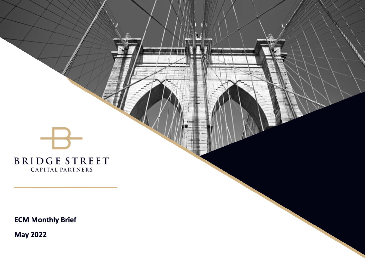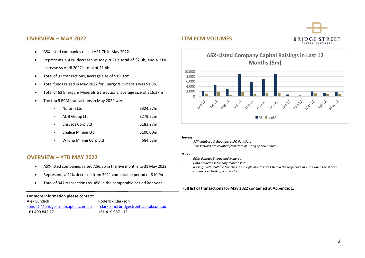### **BRIDGE STREET** CAPITAL PARTNERS

#### **OVERVIEW – MAY 2022**

### **LTM ECM VOLUMES**

- ASX-listed companies raised A\$1.7b in May 2022.
- Represents a 41% decrease vs May 2021's total of \$2.9b, and a 21% increase vs April 2022's total of \$1.4b.
- Total of 91 transactions, average size of \$19.02m.
- Total funds raised in May 2022 for Energy & Minerals was \$1.0b.
- Total of 63 Energy & Minerals transactions, average size of \$16.37m
- The top 5 ECM transactions in May 2022 were:

|                | Nufarm Ltd                | \$324.27m |
|----------------|---------------------------|-----------|
| $\sim$         | AUB Group Ltd             | \$279.22m |
| $\blacksquare$ | Chrysos Corp Ltd          | \$183.27m |
| $\blacksquare$ | <b>Chalice Mining Ltd</b> | \$100.00m |
|                | Wiluna Mining Corp Ltd    | \$84.53m  |

## **ASX-Listed Company Capital Raisings in Last 12 Months (\$m)**



#### *Sources:*

10,000

- *ASX database & Bloomberg IPO Function.*
- *Transactions are counted from date of listing of new shares.*

#### *Notes*

- *E&M denotes Energy and Minerals*
- *Data excludes secondary market sales.*
- *Raisings with multiple tranches in multiple months are listed in the respective months when the shares commenced trading on the ASX*

#### **Full list of transactions for May 2022 contained at Appendix 1.**

#### **OVERVIEW – YTD MAY 2022**

- ASX-listed companies raised A\$6.3b in the five months to 31 May 2022
- Represents a 42% decrease from 2021 comparable period of \$10.9b
- Total of 347 transactions vs. 458 in the comparable period last year

#### **For more information please contact:**

| Alex Sundich                       | Roderick Clarkson                    |
|------------------------------------|--------------------------------------|
| sundich@bridgestreetcapital.com.au | rclarkson@bridgestreetcapital.com.au |
| +61 409 842 171                    | +61 419 957 112                      |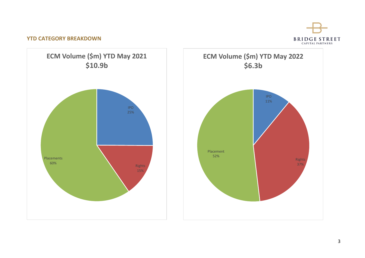# BRIDGE STREET

#### **YTD CATEGORY BREAKDOWN**



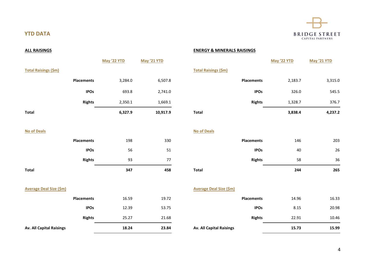

### **YTD DATA**

#### **ALL RAISINGS ENERGY & MINERALS RAISINGS**

# **May '22 YTD May '21 YTD May '22 YTD May '21 YTD Total Raisings (\$m) Total Raisings (\$m) Total 6,327.9 10,917.9 Total 3,838.4 4,237.2**

## **Placements** 3,284.0 6,507.8 **Placements** 2,183.7 3,315.0 **IPOs** 693.8 2,741.0 **IPOs** 326.0 545.5 **Rights** 2,350.1 1,669.1 **Rights** 1,328.7 376.7

## **No of Deals No of Deals Placements** 198 330 **Placements** 146 203 **Total 347 458 Total 244 265**

|               | 347 | 458 | <b>Total</b> |                   | 244 | 265 |
|---------------|-----|-----|--------------|-------------------|-----|-----|
| <b>Rights</b> | 93  | 77  |              | <b>Rights</b>     | 58  | 36  |
| <b>IPOs</b>   | 56  | 51  |              | <b>IPOs</b>       | 40  | 26  |
| ments         | 198 | 330 |              | <b>Placements</b> | 146 | 203 |

#### **Average Deal Size (\$m) Average Deal Size (\$m)**

| <b>Av. All Capital Raisings</b> |                   | 18.24 | 23.84 | <b>Av. All Capital Raisings</b> | 15.73 | 15.99 |
|---------------------------------|-------------------|-------|-------|---------------------------------|-------|-------|
|                                 | <b>Rights</b>     | 25.27 | 21.68 | <b>Rights</b>                   | 22.91 | 10.46 |
|                                 | <b>IPOs</b>       | 12.39 | 53.75 | <b>IPOs</b>                     | 8.15  | 20.98 |
|                                 | <b>Placements</b> | 16.59 | 19.72 | <b>Placements</b>               | 14.96 | 16.33 |

|                   | 18.24 | 23.84 | <b>Av. All Capital Raisings</b> | 15.73 | 15.99 |
|-------------------|-------|-------|---------------------------------|-------|-------|
| <b>Rights</b>     | 25.27 | 21.68 | <b>Rights</b>                   | 22.91 | 10.46 |
| <b>IPOs</b>       | 12.39 | 53.75 | <b>IPOs</b>                     | 8.15  | 20.98 |
| <b>Placements</b> | 16.59 | 19.72 | <b>Placements</b>               | 14.96 | 16.33 |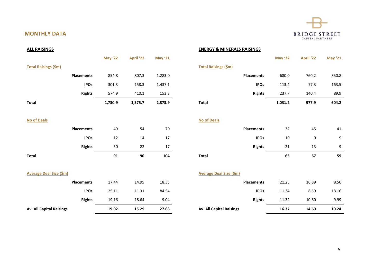# **BRIDGE STREET**

| <b>ALL RAISINGS</b>             |                |           |                |                                 | <b>ENERGY &amp; MINERALS RAISINGS</b> |                |           |                |
|---------------------------------|----------------|-----------|----------------|---------------------------------|---------------------------------------|----------------|-----------|----------------|
|                                 | <b>May '22</b> | April '22 | <b>May '21</b> |                                 |                                       | <b>May '22</b> | April '22 | <b>May '21</b> |
| <b>Total Raisings (\$m)</b>     |                |           |                | <b>Total Raisings (\$m)</b>     |                                       |                |           |                |
| <b>Placements</b>               | 854.8          | 807.3     | 1,283.0        |                                 | <b>Placements</b>                     | 680.0          | 760.2     | 350.8          |
| <b>IPOs</b>                     | 301.3          | 158.3     | 1,437.1        |                                 | <b>IPOs</b>                           | 113.4          | 77.3      | 163.5          |
| <b>Rights</b>                   | 574.9          | 410.1     | 153.8          |                                 | <b>Rights</b>                         | 237.7          | 140.4     | 89.9           |
| <b>Total</b>                    | 1,730.9        | 1,375.7   | 2,873.9        | <b>Total</b>                    |                                       | 1,031.2        | 977.9     | 604.2          |
| <b>No of Deals</b>              |                |           |                | <b>No of Deals</b>              |                                       |                |           |                |
| <b>Placements</b>               | 49             | 54        | 70             |                                 | <b>Placements</b>                     | 32             | 45        | 41             |
| <b>IPOs</b>                     | 12             | 14        | 17             |                                 | <b>IPOs</b>                           | 10             | 9         | 9              |
| <b>Rights</b>                   | $30\,$         | 22        | 17             |                                 | <b>Rights</b>                         | 21             | 13        | 9              |
| <b>Total</b>                    | 91             | 90        | 104            | <b>Total</b>                    |                                       | 63             | 67        | 59             |
| <b>Average Deal Size (\$m)</b>  |                |           |                | <b>Average Deal Size (\$m)</b>  |                                       |                |           |                |
| <b>Placements</b>               | 17.44          | 14.95     | 18.33          |                                 | <b>Placements</b>                     | 21.25          | 16.89     | 8.56           |
| <b>IPOs</b>                     | 25.11          | 11.31     | 84.54          |                                 | <b>IPOs</b>                           | 11.34          | 8.59      | 18.16          |
| <b>Rights</b>                   | 19.16          | 18.64     | 9.04           |                                 | <b>Rights</b>                         | 11.32          | 10.80     | 9.99           |
| <b>Av. All Capital Raisings</b> | 19.02          | 15.29     | 27.63          | <b>Av. All Capital Raisings</b> |                                       | 16.37          | 14.60     | 10.24          |

**MONTHLY DATA**

**ALL RAISINGS ENERGY & MINERALS RAISINGS**

| 1,730.9        | 1,375.7          | 2,873.9        | <b>Total</b>                | 1,031.2        | 977.9            | 604.2          |
|----------------|------------------|----------------|-----------------------------|----------------|------------------|----------------|
| 574.9          | 410.1            | 153.8          | <b>Rights</b>               | 237.7          | 140.4            | 89.9           |
| 301.3          | 158.3            | 1,437.1        | <b>IPOs</b>                 | 113.4          | 77.3             | 163.5          |
| 854.8          | 807.3            | 1,283.0        | <b>Placements</b>           | 680.0          | 760.2            | 350.8          |
|                |                  |                | <b>Total Raisings (\$m)</b> |                |                  |                |
| <b>May '22</b> | <b>April '22</b> | <b>May '21</b> |                             | <b>May '22</b> | <b>April '22</b> | <b>May '21</b> |

|                   | 63 | 67 | 59 |
|-------------------|----|----|----|
| <b>Rights</b>     | 21 | 13 | 9  |
| <b>IPOs</b>       | 10 | 9  | 9  |
| <b>Placements</b> | 32 | 45 | 41 |

| <b>I Capital Raisings</b> |                   | 16.37 | 14.60 | 10.24 |
|---------------------------|-------------------|-------|-------|-------|
|                           | <b>Rights</b>     | 11.32 | 10.80 | 9.99  |
|                           | <b>IPOs</b>       | 11.34 | 8.59  | 18.16 |
|                           | <b>Placements</b> | 21.25 | 16.89 | 8.56  |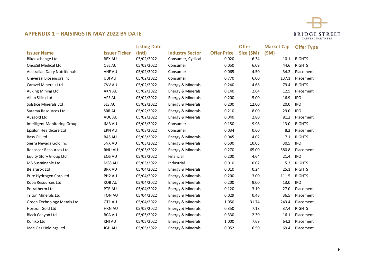

### **APPENDIX 1 – RAISINGS IN MAY 2022 BY DATE**

|                                      |                      | <b>Listing Date</b> |                        |                    | <b>Offer</b> | <b>Market Cap</b> | <b>Offer Type</b> |
|--------------------------------------|----------------------|---------------------|------------------------|--------------------|--------------|-------------------|-------------------|
| <b>Issuer Name</b>                   | <b>Issuer Ticker</b> | $($ Intl $)$        | <b>Industry Sector</b> | <b>Offer Price</b> | Size (\$M)   | (SM)              |                   |
| <b>Bikeexchange Ltd</b>              | <b>BEX AU</b>        | 05/02/2022          | Consumer, Cyclical     | 0.020              | 6.34         | 10.1              | <b>RIGHTS</b>     |
| <b>OncoSil Medical Ltd</b>           | OSL AU               | 05/02/2022          | Consumer               | 0.050              | 6.09         | 44.6              | <b>RIGHTS</b>     |
| <b>Australian Dairy Nutritionals</b> | <b>AHF AU</b>        | 05/02/2022          | Consumer               | 0.065              | 4.50         | 34.2              | Placement         |
| Universal Biosensors Inc             | UBI AU               | 05/02/2022          | Consumer               | 0.770              | 6.00         | 137.1             | Placement         |
| <b>Caravel Minerals Ltd</b>          | <b>CVV AU</b>        | 05/02/2022          | Energy & Minerals      | 0.240              | 4.68         | 79.4              | <b>RIGHTS</b>     |
| Auking Mining Ltd                    | <b>AKN AU</b>        | 05/02/2022          | Energy & Minerals      | 0.140              | 2.64         | 12.5              | Placement         |
| Allup Silica Ltd                     | APS AU               | 05/02/2022          | Energy & Minerals      | 0.200              | 5.00         | 16.9              | <b>IPO</b>        |
| <b>Solstice Minerals Ltd</b>         | SLS AU               | 05/02/2022          | Energy & Minerals      | 0.200              | 12.00        | 20.0              | <b>IPO</b>        |
| Sarama Resources Ltd                 | <b>SRR AU</b>        | 05/02/2022          | Energy & Minerals      | 0.210              | 8.00         | 29.0              | <b>IPO</b>        |
| Ausgold Ltd                          | AUC AU               | 05/02/2022          | Energy & Minerals      | 0.040              | 2.80         | 81.2              | Placement         |
| Intelligent Monitoring Group L       | <b>IMB AU</b>        | 05/03/2022          | Consumer               | 0.150              | 9.98         | 13.0              | <b>RIGHTS</b>     |
| Epsilon Healthcare Ltd               | <b>EPN AU</b>        | 05/03/2022          | Consumer               | 0.034              | 0.60         | 8.2               | Placement         |
| Bass Oil Ltd                         | <b>BAS AU</b>        | 05/03/2022          | Energy & Minerals      | 0.045              | 4.02         | 7.1               | <b>RIGHTS</b>     |
| Sierra Nevada Gold Inc               | SNX AU               | 05/03/2022          | Energy & Minerals      | 0.500              | 10.03        | 30.5              | <b>IPO</b>        |
| <b>Renascor Resources Ltd</b>        | <b>RNU AU</b>        | 05/03/2022          | Energy & Minerals      | 0.270              | 65.00        | 580.8             | Placement         |
| <b>Equity Story Group Ltd</b>        | EQS AU               | 05/03/2022          | Financial              | 0.200              | 4.64         | 21.4              | <b>IPO</b>        |
| M8 Sustainable Ltd                   | M8S AU               | 05/03/2022          | Industrial             | 0.010              | 10.02        | 5.3               | <b>RIGHTS</b>     |
| <b>Belararox Ltd</b>                 | <b>BRX AU</b>        | 05/04/2022          | Energy & Minerals      | 0.010              | 0.24         | 25.1              | <b>RIGHTS</b>     |
| Pure Hydrogen Corp Ltd               | PH <sub>2</sub> AU   | 05/04/2022          | Energy & Minerals      | 0.200              | 3.00         | 111.5             | <b>RIGHTS</b>     |
| Koba Resources Ltd                   | <b>KOB AU</b>        | 05/04/2022          | Energy & Minerals      | 0.200              | 9.00         | 13.0              | <b>IPO</b>        |
| Petratherm Ltd                       | PTR AU               | 05/04/2022          | Energy & Minerals      | 0.120              | 3.10         | 27.0              | Placement         |
| <b>Triton Minerals Ltd</b>           | <b>TON AU</b>        | 05/04/2022          | Energy & Minerals      | 0.029              | 0.46         | 36.5              | Placement         |
| Green Technology Metals Ltd          | GT1 AU               | 05/04/2022          | Energy & Minerals      | 1.050              | 31.74        | 243.4             | Placement         |
| Horizon Gold Ltd                     | <b>HRN AU</b>        | 05/05/2022          | Energy & Minerals      | 0.350              | 7.18         | 37.4              | <b>RIGHTS</b>     |
| <b>Black Canyon Ltd</b>              | <b>BCA AU</b>        | 05/05/2022          | Energy & Minerals      | 0.330              | 2.30         | 16.1              | Placement         |
| Kuniko Ltd                           | <b>KNI AU</b>        | 05/05/2022          | Energy & Minerals      | 1.000              | 7.69         | 64.2              | Placement         |
| Jade Gas Holdings Ltd                | <b>JGH AU</b>        | 05/05/2022          | Energy & Minerals      | 0.052              | 6.50         | 69.4              | Placement         |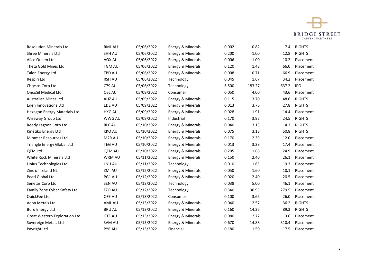

| <b>Resolution Minerals Ltd</b>       | RML AU             | 05/06/2022 | Energy & Minerals | 0.002 | 0.82   | 7.4   | <b>RIGHTS</b> |
|--------------------------------------|--------------------|------------|-------------------|-------|--------|-------|---------------|
| <b>Shree Minerals Ltd</b>            | SHH AU             | 05/06/2022 | Energy & Minerals | 0.200 | 1.00   | 12.8  | <b>RIGHTS</b> |
| Alice Queen Ltd                      | AQX AU             | 05/06/2022 | Energy & Minerals | 0.006 | 1.00   | 10.2  | Placement     |
| Theta Gold Mines Ltd                 | <b>TGM AU</b>      | 05/06/2022 | Energy & Minerals | 0.120 | 1.48   | 66.0  | Placement     |
| <b>Talon Energy Ltd</b>              | <b>TPD AU</b>      | 05/06/2022 | Energy & Minerals | 0.008 | 10.71  | 66.9  | Placement     |
| Respiri Ltd                          | <b>RSH AU</b>      | 05/06/2022 | Technology        | 0.045 | 1.67   | 34.2  | Placement     |
| Chrysos Corp Ltd                     | <b>C79 AU</b>      | 05/06/2022 | Technology        | 6.500 | 183.27 | 637.2 | <b>IPO</b>    |
| <b>OncoSil Medical Ltd</b>           | OSL AU             | 05/09/2022 | Consumer          | 0.050 | 4.00   | 43.6  | Placement     |
| <b>Australian Mines Ltd</b>          | AUZ AU             | 05/09/2022 | Energy & Minerals | 0.115 | 3.70   | 48.6  | <b>RIGHTS</b> |
| <b>Eden Innovations Ltd</b>          | EDE AU             | 05/09/2022 | Energy & Minerals | 0.013 | 3.76   | 27.8  | <b>RIGHTS</b> |
| Hexagon Energy Materials Ltd         | HXG AU             | 05/09/2022 | Energy & Minerals | 0.028 | 1.91   | 14.4  | Placement     |
| Wiseway Group Ltd                    | <b>WWG AU</b>      | 05/09/2022 | Industrial        | 0.170 | 3.92   | 24.5  | <b>RIGHTS</b> |
| Reedy Lagoon Corp Ltd                | <b>RLC AU</b>      | 05/10/2022 | Energy & Minerals | 0.040 | 3.13   | 14.3  | <b>RIGHTS</b> |
| Kinetiko Energy Ltd                  | <b>KKO AU</b>      | 05/10/2022 | Energy & Minerals | 0.075 | 3.13   | 50.8  | <b>RIGHTS</b> |
| Miramar Resources Ltd                | M <sub>2R</sub> AU | 05/10/2022 | Energy & Minerals | 0.170 | 2.39   | 12.0  | Placement     |
| Triangle Energy Global Ltd           | <b>TEG AU</b>      | 05/10/2022 | Energy & Minerals | 0.013 | 3.39   | 17.4  | Placement     |
| QEM Ltd                              | QEM AU             | 05/10/2022 | Energy & Minerals | 0.205 | 1.68   | 24.9  | Placement     |
| White Rock Minerals Ltd              | <b>WRM AU</b>      | 05/11/2022 | Energy & Minerals | 0.150 | 2.40   | 26.1  | Placement     |
| Linius Technologies Ltd              | LNU AU             | 05/11/2022 | Technology        | 0.010 | 1.65   | 19.3  | Placement     |
| Zinc of Ireland NL                   | ZMI AU             | 05/12/2022 | Energy & Minerals | 0.050 | 1.60   | 10.1  | Placement     |
| Pearl Global Ltd                     | PG1 AU             | 05/12/2022 | Energy & Minerals | 0.020 | 2.40   | 20.5  | Placement     |
| Senetas Corp Ltd                     | <b>SEN AU</b>      | 05/12/2022 | Technology        | 0.038 | 5.00   | 46.1  | Placement     |
| Family Zone Cyber Safety Ltd         | FZO AU             | 05/12/2022 | Technology        | 0.340 | 30.95  | 279.5 | Placement     |
| QuickFee Ltd                         | QFE AU             | 05/13/2022 | Consumer          | 0.100 | 3.65   | 26.0  | Placement     |
| Aeon Metals Ltd                      | AML AU             | 05/13/2022 | Energy & Minerals | 0.040 | 12.57  | 36.2  | <b>RIGHTS</b> |
| <b>Buru Energy Ltd</b>               | <b>BRU AU</b>      | 05/13/2022 | Energy & Minerals | 0.160 | 14.36  | 89.3  | <b>RIGHTS</b> |
| <b>Great Western Exploration Ltd</b> | <b>GTE AU</b>      | 05/13/2022 | Energy & Minerals | 0.080 | 2.72   | 13.6  | Placement     |
| Sovereign Metals Ltd                 | SVM AU             | 05/13/2022 | Energy & Minerals | 0.670 | 14.88  | 310.4 | Placement     |
| Payright Ltd                         | PYR AU             | 05/13/2022 | Financial         | 0.180 | 1.50   | 17.5  | Placement     |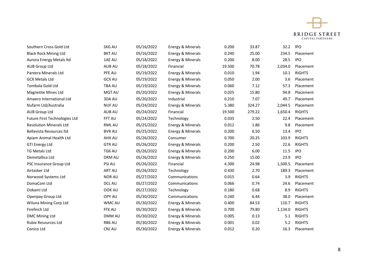

| Southern Cross Gold Ltd        | <b>SXG AU</b> | 05/16/2022 | Energy & Minerals | 0.200  | 33.87  | 32.2    | <b>IPO</b>    |
|--------------------------------|---------------|------------|-------------------|--------|--------|---------|---------------|
| <b>Black Rock Mining Ltd</b>   | <b>BKT AU</b> | 05/16/2022 | Energy & Minerals | 0.240  | 25.00  | 234.5   | Placement     |
| Aurora Energy Metals Itd       | 1AE AU        | 05/18/2022 | Energy & Minerals | 0.200  | 8.00   | 28.5    | <b>IPO</b>    |
| <b>AUB Group Ltd</b>           | AUB AU        | 05/18/2022 | Financial         | 19.500 | 70.78  | 2,034.0 | Placement     |
| Pantera Minerals Ltd           | PFE AU        | 05/19/2022 | Energy & Minerals | 0.010  | 1.94   | 10.1    | <b>RIGHTS</b> |
| <b>GCX Metals Ltd</b>          | <b>GCX AU</b> | 05/19/2022 | Energy & Minerals | 0.050  | 2.00   | 3.6     | Placement     |
| Tombola Gold Ltd               | <b>TBA AU</b> | 05/19/2022 | Energy & Minerals | 0.060  | 7.12   | 57.3    | Placement     |
| <b>Magnetite Mines Ltd</b>     | <b>MGT AU</b> | 05/20/2022 | Energy & Minerals | 0.025  | 15.80  | 94.8    | Placement     |
| Amaero International Ltd       | 3DA AU        | 05/20/2022 | Industrial        | 0.210  | 7.07   | 49.7    | Placement     |
| Nufarm Ltd/Australia           | <b>NUFAU</b>  | 05/24/2022 | Energy & Minerals | 5.380  | 324.27 | 2,044.5 | Placement     |
| <b>AUB Group Ltd</b>           | <b>AUB AU</b> | 05/24/2022 | Financial         | 19.500 | 279.22 | 1,650.4 | <b>RIGHTS</b> |
| Future First Technologies Ltd  | FFT AU        | 05/24/2022 | Technology        | 0.035  | 2.50   | 22.4    | Placement     |
| <b>Resolution Minerals Ltd</b> | RML AU        | 05/25/2022 | Energy & Minerals | 0.012  | 1.86   | 9.8     | Placement     |
| Bellavista Resources Itd       | <b>BVR AU</b> | 05/25/2022 | Energy & Minerals | 0.200  | 6.50   | 13.4    | <b>IPO</b>    |
| Apiam Animal Health Ltd        | AHX AU        | 05/26/2022 | Consumer          | 0.700  | 20.25  | 103.9   | <b>RIGHTS</b> |
| <b>GTI Energy Ltd</b>          | <b>GTR AU</b> | 05/26/2022 | Energy & Minerals | 0.200  | 2.50   | 22.6    | <b>RIGHTS</b> |
| <b>TG Metals Ltd</b>           | TG6 AU        | 05/26/2022 | Energy & Minerals | 0.200  | 6.00   | 11.5    | <b>IPO</b>    |
| Demetallica Ltd                | <b>DRM AU</b> | 05/26/2022 | Energy & Minerals | 0.250  | 15.00  | 23.9    | <b>IPO</b>    |
| PSC Insurance Group Ltd        | PSI AU        | 05/26/2022 | Financial         | 4.300  | 24.98  | 1,500.5 | Placement     |
| Airtasker Ltd                  | <b>ART AU</b> | 05/26/2022 | Technology        | 0.430  | 2.70   | 189.3   | Placement     |
| Norwood Systems Ltd            | <b>NOR AU</b> | 05/27/2022 | Communications    | 0.015  | 0.64   | 3.9     | <b>RIGHTS</b> |
| DomaCom Ltd                    | <b>DCL AU</b> | 05/27/2022 | Communications    | 0.066  | 0.74   | 24.6    | Placement     |
| Ookami Ltd                     | OOK AU        | 05/27/2022 | Technology        | 0.180  | 0.68   | 8.9     | <b>RIGHTS</b> |
| Openpay Group Ltd              | OPY AU        | 05/30/2022 | Communications    | 0.240  | 6.44   | 38.0    | Placement     |
| Wiluna Mining Corp Ltd         | <b>WMC AU</b> | 05/30/2022 | Energy & Minerals | 0.400  | 84.53  | 110.7   | <b>RIGHTS</b> |
| Firefinch Ltd                  | <b>FFX AU</b> | 05/30/2022 | Energy & Minerals | 0.700  | 79.80  | 1,134.0 | <b>RIGHTS</b> |
| DMC Mining Ltd                 | DMM AU        | 05/30/2022 | Energy & Minerals | 0.005  | 0.13   | 5.1     | <b>RIGHTS</b> |
| <b>Rubix Resources Ltd</b>     | RB6 AU        | 05/30/2022 | Energy & Minerals | 0.001  | 0.02   | 5.2     | <b>RIGHTS</b> |
| Conico Ltd                     | CNJ AU        | 05/30/2022 | Energy & Minerals | 0.012  | 0.20   | 16.3    | Placement     |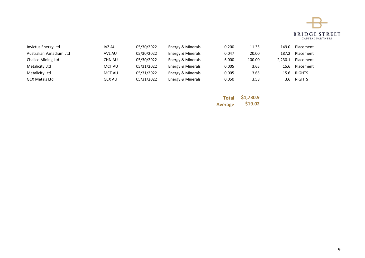

| Invictus Energy Ltd     | IVZ AU        | 05/30/2022 | Energy & Minerals | 0.200 | 11.35  | 149.0   | Placement     |
|-------------------------|---------------|------------|-------------------|-------|--------|---------|---------------|
| Australian Vanadium Ltd | AVL AU        | 05/30/2022 | Energy & Minerals | 0.047 | 20.00  | 187.2   | Placement     |
| Chalice Mining Ltd      | CHN AU        | 05/30/2022 | Energy & Minerals | 6.000 | 100.00 | 2.230.1 | Placement     |
| Metalicity Ltd          | MCT AU        | 05/31/2022 | Energy & Minerals | 0.005 | 3.65   | 15.6    | Placement     |
| Metalicity Ltd          | MCT AU        | 05/31/2022 | Energy & Minerals | 0.005 | 3.65   | 15.6    | <b>RIGHTS</b> |
| <b>GCX Metals Ltd</b>   | <b>GCX AU</b> | 05/31/2022 | Energy & Minerals | 0.050 | 3.58   | 3.6     | <b>RIGHTS</b> |

**Total \$1,730.9 Average \$19.02**